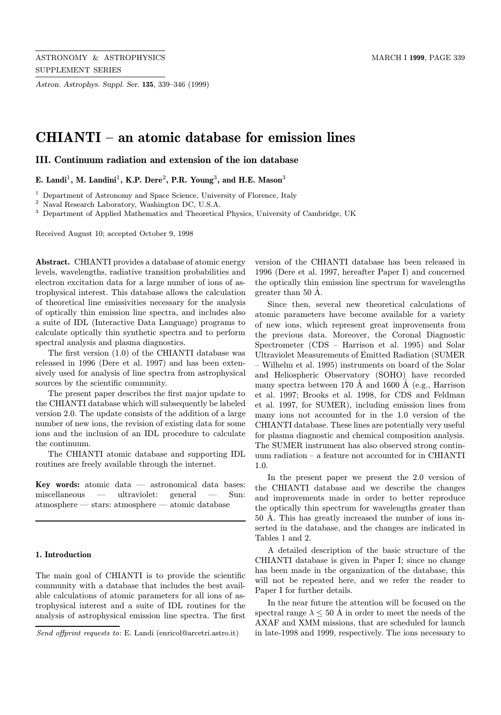Astron. Astrophys. Suppl. Ser. 135, 339–346 (1999)

# CHIANTI – an atomic database for emission lines

III. Continuum radiation and extension of the ion database

E. Landi<sup>1</sup>, M. Landini<sup>1</sup>, K.P. Dere<sup>2</sup>, P.R. Young<sup>3</sup>, and H.E. Mason<sup>3</sup>

<sup>1</sup> Department of Astronomy and Space Science, University of Florence, Italy

<sup>2</sup> Naval Research Laboratory, Washington DC, U.S.A.

<sup>3</sup> Department of Applied Mathematics and Theoretical Physics, University of Cambridge, UK

Received August 10; accepted October 9, 1998

Abstract. CHIANTI provides a database of atomic energy levels, wavelengths, radiative transition probabilities and electron excitation data for a large number of ions of astrophysical interest. This database allows the calculation of theoretical line emissivities necessary for the analysis of optically thin emission line spectra, and includes also a suite of IDL (Interactive Data Language) programs to calculate optically thin synthetic spectra and to perform spectral analysis and plasma diagnostics.

The first version (1.0) of the CHIANTI database was released in 1996 (Dere et al. 1997) and has been extensively used for analysis of line spectra from astrophysical sources by the scientific community.

The present paper describes the first major update to the CHIANTI database which will subsequently be labeled version 2.0. The update consists of the addition of a large number of new ions, the revision of existing data for some ions and the inclusion of an IDL procedure to calculate the continuum.

The CHIANTI atomic database and supporting IDL routines are freely available through the internet.

Key words: atomic data — astronomical data bases: miscellaneous — ultraviolet: general — Sun: atmosphere — stars: atmosphere — atomic database

### 1. Introduction

The main goal of CHIANTI is to provide the scientific community with a database that includes the best available calculations of atomic parameters for all ions of astrophysical interest and a suite of IDL routines for the analysis of astrophysical emission line spectra. The first

version of the CHIANTI database has been released in 1996 (Dere et al. 1997, hereafter Paper I) and concerned the optically thin emission line spectrum for wavelengths greater than 50 A.

Since then, several new theoretical calculations of atomic parameters have become available for a variety of new ions, which represent great improvements from the previous data. Moreover, the Coronal Diagnostic Spectrometer (CDS – Harrison et al. 1995) and Solar Ultraviolet Measurements of Emitted Radiation (SUMER – Wilhelm et al. 1995) instruments on board of the Solar and Heliospheric Observatory (SOHO) have recorded many spectra between 170 Å and 1600 Å (e.g., Harrison et al. 1997; Brooks et al. 1998, for CDS and Feldman et al. 1997, for SUMER), including emission lines from many ions not accounted for in the 1.0 version of the CHIANTI database. These lines are potentially very useful for plasma diagnostic and chemical composition analysis. The SUMER instrument has also observed strong continuum radiation – a feature not accounted for in CHIANTI 1.0.

In the present paper we present the 2.0 version of the CHIANTI database and we describe the changes and improvements made in order to better reproduce the optically thin spectrum for wavelengths greater than 50 A. This has greatly increased the number of ions inserted in the database, and the changes are indicated in Tables 1 and 2.

A detailed description of the basic structure of the CHIANTI database is given in Paper I; since no change has been made in the organization of the database, this will not be repeated here, and we refer the reader to Paper I for further details.

In the near future the attention will be focused on the spectral range  $\lambda \leq 50$  Å in order to meet the needs of the AXAF and XMM missions, that are scheduled for launch in late-1998 and 1999, respectively. The ions necessary to

Send offprint requests to: E. Landi (enricol@arcetri.astro.it)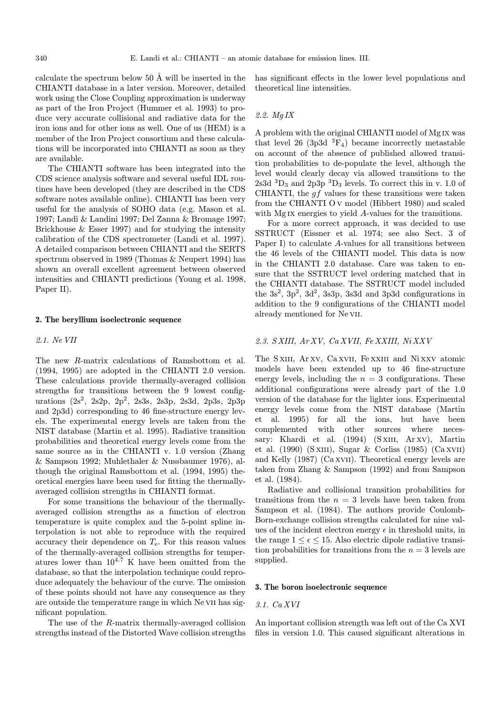calculate the spectrum below 50 Å will be inserted in the CHIANTI database in a later version. Moreover, detailed work using the Close Coupling approximation is underway as part of the Iron Project (Hummer et al. 1993) to produce very accurate collisional and radiative data for the iron ions and for other ions as well. One of us (HEM) is a member of the Iron Project consortium and these calculations will be incorporated into CHIANTI as soon as they are available.

The CHIANTI software has been integrated into the CDS science analysis software and several useful IDL routines have been developed (they are described in the CDS software notes available online). CHIANTI has been very useful for the analysis of SOHO data (e.g. Mason et al. 1997; Landi & Landini 1997; Del Zanna & Bromage 1997; Brickhouse & Esser 1997) and for studying the intensity calibration of the CDS spectrometer (Landi et al. 1997). A detailed comparison between CHIANTI and the SERTS spectrum observed in 1989 (Thomas & Neupert 1994) has shown an overall excellent agreement between observed intensities and CHIANTI predictions (Young et al. 1998, Paper II).

### 2. The beryllium isoelectronic sequence

2.1. Ne VII

The new R-matrix calculations of Ramsbottom et al. (1994, 1995) are adopted in the CHIANTI 2.0 version. These calculations provide thermally-averaged collision strengths for transitions between the 9 lowest configurations  $(2s^2, 2s^2p, 2p^2, 2s^3s, 2s^3p, 2s^3d, 2p^3s, 2p^3p)$ and 2p3d) corresponding to 46 fine-structure energy levels. The experimental energy levels are taken from the NIST database (Martin et al. 1995). Radiative transition probabilities and theoretical energy levels come from the same source as in the CHIANTI v. 1.0 version (Zhang & Sampson 1992; Muhlethaler & Nussbaumer 1976), although the original Ramsbottom et al. (1994, 1995) theoretical energies have been used for fitting the thermallyaveraged collision strengths in CHIANTI format.

For some transitions the behaviour of the thermallyaveraged collision strengths as a function of electron temperature is quite complex and the 5-point spline interpolation is not able to reproduce with the required accuracy their dependence on  $T_e$ . For this reason values of the thermally-averaged collision strengths for temperatures lower than  $10^{4.7}$  K have been omitted from the database, so that the interpolation technique could reproduce adequately the behaviour of the curve. The omission of these points should not have any consequence as they are outside the temperature range in which Ne vii has significant population.

The use of the R-matrix thermally-averaged collision strengths instead of the Distorted Wave collision strengths has significant effects in the lower level populations and theoretical line intensities.

# 2.2. Mg IX

A problem with the original CHIANTI model of Mg ix was that level 26 (3p3d  ${}^{3}F_{4}$ ) became incorrectly metastable on account of the absence of published allowed transition probabilities to de-populate the level, although the level would clearly decay via allowed transitions to the 2s3d  ${}^{3}D_3$  and  $2p3p$   ${}^{3}D_3$  levels. To correct this in v. 1.0 of CHIANTI, the  $qf$  values for these transitions were taken from the CHIANTI O v model (Hibbert 1980) and scaled with Mg IX energies to yield A-values for the transitions.

For a more correct approach, it was decided to use SSTRUCT (Eissner et al. 1974; see also Sect. 3 of Paper I) to calculate A-values for all transitions between the 46 levels of the CHIANTI model. This data is now in the CHIANTI 2.0 database. Care was taken to ensure that the SSTRUCT level ordering matched that in the CHIANTI database. The SSTRUCT model included the  $3s^2$ ,  $3p^2$ ,  $3d^2$ ,  $3s3p$ ,  $3s3d$  and  $3p3d$  configurations in addition to the 9 configurations of the CHIANTI model already mentioned for Ne vii.

# 2.3. S XIII, Ar XV, Ca XVII, Fe XXIII, Ni XXV

The SXIII, Ar XV, Ca XVII, Fe XXIII and Ni XXV atomic models have been extended up to 46 fine-structure energy levels, including the  $n = 3$  configurations. These additional configurations were already part of the 1.0 version of the database for the lighter ions. Experimental energy levels come from the NIST database (Martin et al. 1995) for all the ions, but have been complemented with other sources where necessary: Khardi et al. (1994) (SXIII, Ar XV), Martin et al. (1990) (S xIII), Sugar & Corliss (1985) (Ca xVII) and Kelly (1987) (Ca xvii). Theoretical energy levels are taken from Zhang & Sampson (1992) and from Sampson et al. (1984).

Radiative and collisional transition probabilities for transitions from the  $n = 3$  levels have been taken from Sampson et al. (1984). The authors provide Coulomb-Born-exchange collision strengths calculated for nine values of the incident electron energy  $\epsilon$  in threshold units, in the range  $1 \leq \epsilon \leq 15$ . Also electric dipole radiative transition probabilities for transitions from the  $n = 3$  levels are supplied.

#### 3. The boron isoelectronic sequence

# 3.1. Ca XVI

An important collision strength was left out of the Ca XVI files in version 1.0. This caused significant alterations in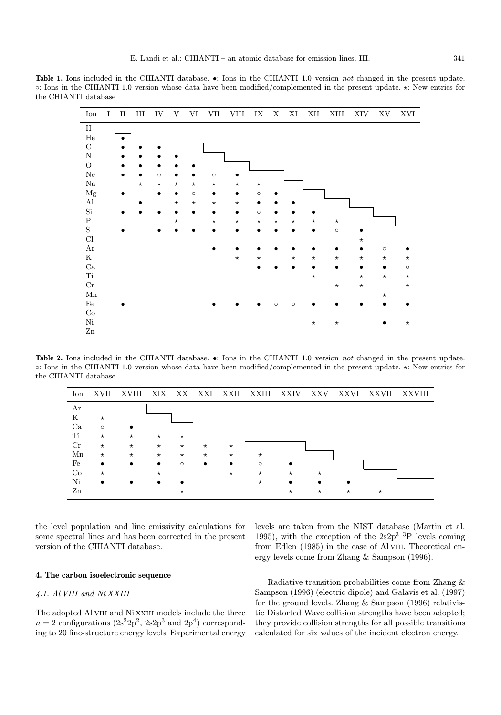Table 1. Ions included in the CHIANTI database. •: Ions in the CHIANTI 1.0 version not changed in the present update. ◦: Ions in the CHIANTI 1.0 version whose data have been modified/complemented in the present update. ?: New entries for the CHIANTI database

| Ion           | I | $\rm II$  | $\rm III$ | ${\rm IV}$ | V         | VI      | VII       | ${\rm VIII}$ | ${\it IX}$ | $\mathbf X$ | $\mathbf{X}\mathbf{I}$ | XII       | $\mbox{XIII}$ | XIV      | XV        | XVI     |
|---------------|---|-----------|-----------|------------|-----------|---------|-----------|--------------|------------|-------------|------------------------|-----------|---------------|----------|-----------|---------|
| $\, {\rm H}$  |   |           |           |            |           |         |           |              |            |             |                        |           |               |          |           |         |
| $\rm He$      |   | $\bullet$ |           |            |           |         |           |              |            |             |                        |           |               |          |           |         |
| $\mathbf C$   |   |           |           | $\bullet$  |           |         |           |              |            |             |                        |           |               |          |           |         |
| ${\rm N}$     |   |           |           |            |           |         |           |              |            |             |                        |           |               |          |           |         |
| ${\rm O}$     |   |           |           |            |           |         |           |              |            |             |                        |           |               |          |           |         |
| ${\rm Ne}$    |   |           |           | $\circ$    |           |         | $\circ$   |              |            |             |                        |           |               |          |           |         |
| $\rm Na$      |   |           | $\star$   | $\star$    | $\star$   | $\star$ | $\star$   | $\star$      | $\star$    |             |                        |           |               |          |           |         |
| $_{\rm Mg}$   |   |           |           | $\bullet$  | $\bullet$ | $\circ$ | $\bullet$ |              | $\circ$    |             |                        |           |               |          |           |         |
| Al            |   |           |           |            | $\star$   | $\star$ | $\star$   | $\star$      | $\bullet$  |             |                        |           |               |          |           |         |
| $\mathrm{Si}$ |   |           |           |            |           |         | $\bullet$ | $\bullet$    | $\circ$    |             |                        |           |               |          |           |         |
| ${\bf P}$     |   |           |           |            | $\star$   |         | $\star$   | $\star$      | $\star$    | $\star$     | $\star$                | $\star$   | $\star$       |          |           |         |
| $\mathbf S$   |   |           |           |            |           |         |           |              |            |             |                        | $\bullet$ | $\circ$       |          |           |         |
| Cl            |   |           |           |            |           |         |           |              |            |             |                        |           |               | $^\star$ |           |         |
| $\rm Ar$      |   |           |           |            |           |         |           |              |            |             |                        |           | $\bullet$     |          | $\circ$   |         |
| ${\bf K}$     |   |           |           |            |           |         |           | $\star$      | $\star$    |             | $\star$                | $\star$   | $\star$       | $\star$  | $\star$   | $\star$ |
| $\rm Ca$      |   |           |           |            |           |         |           |              |            |             |                        |           |               |          | $\bullet$ | $\circ$ |
| Ti            |   |           |           |            |           |         |           |              |            |             |                        | $\star$   |               | $\star$  | $\star$   | $\star$ |
| $\rm Cr$      |   |           |           |            |           |         |           |              |            |             |                        |           | $\star$       | $\star$  |           | $\star$ |
| ${\rm Mn}$    |   |           |           |            |           |         |           |              |            |             |                        |           |               |          | $\star$   |         |
| $\rm Fe$      |   |           |           |            |           |         |           |              |            | $\circ$     | $\circ$                |           |               |          |           |         |
| $\rm{Co}$     |   |           |           |            |           |         |           |              |            |             |                        |           |               |          |           |         |
| $\mathrm{Ni}$ |   |           |           |            |           |         |           |              |            |             |                        | $\star$   | $\star$       |          |           | $\star$ |
| $\rm Zn$      |   |           |           |            |           |         |           |              |            |             |                        |           |               |          |           |         |

Table 2. Ions included in the CHIANTI database. •: Ions in the CHIANTI 1.0 version not changed in the present update. ◦: Ions in the CHIANTI 1.0 version whose data have been modified/complemented in the present update. ?: New entries for the CHIANTI database



the level population and line emissivity calculations for some spectral lines and has been corrected in the present version of the CHIANTI database.

# 4. The carbon isoelectronic sequence

# 4.1. Al VIII and Ni XXIII

The adopted Al VIII and Ni XXIII models include the three  $n = 2$  configurations  $(2s^22p^2, 2s2p^3 \text{ and } 2p^4)$  corresponding to 20 fine-structure energy levels. Experimental energy levels are taken from the NIST database (Martin et al. 1995), with the exception of the  $2s2p^3$  <sup>3</sup>P levels coming from Edlen (1985) in the case of Al VIII. Theoretical energy levels come from Zhang & Sampson (1996).

Radiative transition probabilities come from Zhang & Sampson (1996) (electric dipole) and Galavis et al. (1997) for the ground levels. Zhang & Sampson (1996) relativistic Distorted Wave collision strengths have been adopted; they provide collision strengths for all possible transitions calculated for six values of the incident electron energy.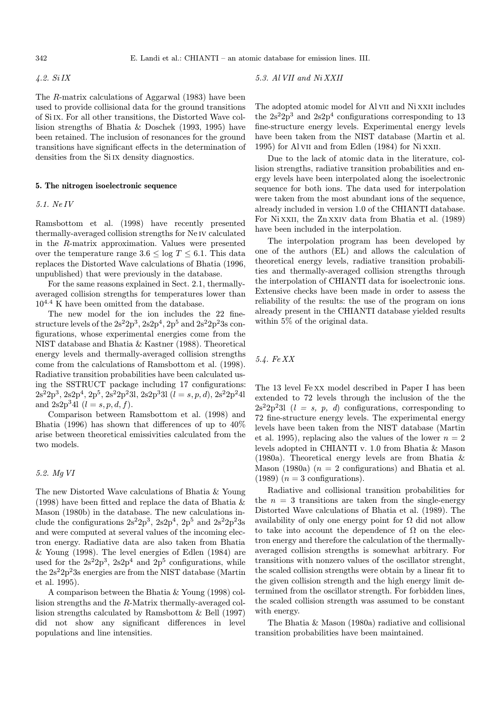342 E. Landi et al.: CHIANTI – an atomic database for emission lines. III.

4.2. Si IX

The R-matrix calculations of Aggarwal (1983) have been used to provide collisional data for the ground transitions of Si ix. For all other transitions, the Distorted Wave collision strengths of Bhatia & Doschek (1993, 1995) have been retained. The inclusion of resonances for the ground transitions have significant effects in the determination of densities from the Si IX density diagnostics.

## 5. The nitrogen isoelectronic sequence

# 5.1. Ne IV

Ramsbottom et al. (1998) have recently presented thermally-averaged collision strengths for Ne iv calculated in the R-matrix approximation. Values were presented over the temperature range  $3.6 \le \log T \le 6.1$ . This data replaces the Distorted Wave calculations of Bhatia (1996, unpublished) that were previously in the database.

For the same reasons explained in Sect. 2.1, thermallyaveraged collision strengths for temperatures lower than  $10^{4.4}$  K have been omitted from the database.

The new model for the ion includes the 22 finestructure levels of the  $2s^22p^3$ ,  $2s2p^4$ ,  $2p^5$  and  $2s^22p^23s$  configurations, whose experimental energies come from the NIST database and Bhatia & Kastner (1988). Theoretical energy levels and thermally-averaged collision strengths come from the calculations of Ramsbottom et al. (1998). Radiative transition probabilities have been calculated using the SSTRUCT package including 17 configurations:  $2s^22p^3$ ,  $2s2p^4$ ,  $2p^5$ ,  $2s^22p^23l$ ,  $2s2p^33l$   $(l = s, p, d)$ ,  $2s^22p^24l$ and  $2s2p^34l$   $(l = s, p, d, f)$ .

Comparison between Ramsbottom et al. (1998) and Bhatia (1996) has shown that differences of up to 40% arise between theoretical emissivities calculated from the two models.

# 5.2. Mg VI

The new Distorted Wave calculations of Bhatia & Young (1998) have been fitted and replace the data of Bhatia & Mason (1980b) in the database. The new calculations include the configurations  $2s^22p^3$ ,  $2s2p^4$ ,  $2p^5$  and  $2s^22p^23s$ and were computed at several values of the incoming electron energy. Radiative data are also taken from Bhatia & Young (1998). The level energies of Edlen (1984) are used for the  $2s^22p^3$ ,  $2s2p^4$  and  $2p^5$  configurations, while the  $2s^22p^23s$  energies are from the NIST database (Martin et al. 1995).

A comparison between the Bhatia & Young (1998) collision strengths and the R-Matrix thermally-averaged collision strengths calculated by Ramsbottom & Bell (1997) did not show any significant differences in level populations and line intensities.

5.3. Al VII and Ni XXII

The adopted atomic model for Al VII and Ni XXII includes the  $2s^22p^3$  and  $2s2p^4$  configurations corresponding to 13 fine-structure energy levels. Experimental energy levels have been taken from the NIST database (Martin et al. 1995) for Al vii and from Edlen (1984) for Ni xxii.

Due to the lack of atomic data in the literature, collision strengths, radiative transition probabilities and energy levels have been interpolated along the isoelectronic sequence for both ions. The data used for interpolation were taken from the most abundant ions of the sequence, already included in version 1.0 of the CHIANTI database. For Ni xxii, the Zn xxiv data from Bhatia et al. (1989) have been included in the interpolation.

The interpolation program has been developed by one of the authors (EL) and allows the calculation of theoretical energy levels, radiative transition probabilities and thermally-averaged collision strengths through the interpolation of CHIANTI data for isoelectronic ions. Extensive checks have been made in order to assess the reliability of the results: the use of the program on ions already present in the CHIANTI database yielded results within 5% of the original data.

# 5.4. Fe XX

The 13 level Fe xx model described in Paper I has been extended to 72 levels through the inclusion of the the  $2s^22p^23l$  ( $l = s, p, d$ ) configurations, corresponding to 72 fine-structure energy levels. The experimental energy levels have been taken from the NIST database (Martin et al. 1995), replacing also the values of the lower  $n = 2$ levels adopted in CHIANTI v. 1.0 from Bhatia & Mason (1980a). Theoretical energy levels are from Bhatia & Mason (1980a)  $(n = 2 \text{ configurations})$  and Bhatia et al.  $(1989)$   $(n = 3$  configurations).

Radiative and collisional transition probabilities for the  $n = 3$  transitions are taken from the single-energy Distorted Wave calculations of Bhatia et al. (1989). The availability of only one energy point for  $\Omega$  did not allow to take into account the dependence of  $\Omega$  on the electron energy and therefore the calculation of the thermallyaveraged collision strengths is somewhat arbitrary. For transitions with nonzero values of the oscillator strenght, the scaled collision strengths were obtain by a linear fit to the given collision strength and the high energy limit determined from the oscillator strength. For forbidden lines, the scaled collision strength was assumed to be constant with energy.

The Bhatia & Mason (1980a) radiative and collisional transition probabilities have been maintained.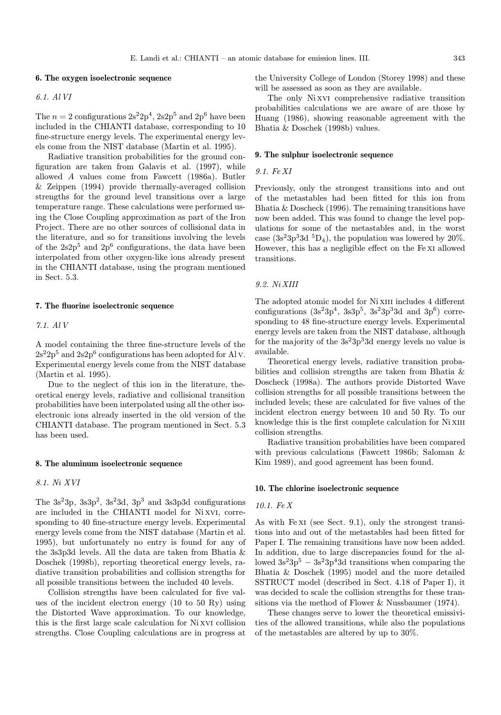#### 6. The oxygen isoelectronic sequence

# 6.1. Al VI

The  $n = 2$  configurations  $2s^22p^4$ ,  $2s2p^5$  and  $2p^6$  have been included in the CHIANTI database, corresponding to 10 fine-structure energy levels. The experimental energy levels come from the NIST database (Martin et al. 1995).

Radiative transition probabilities for the ground configuration are taken from Galavis et al. (1997), while allowed A values come from Fawcett (1986a). Butler & Zeippen (1994) provide thermally-averaged collision strengths for the ground level transitions over a large temperature range. These calculations were performed using the Close Coupling approximation as part of the Iron Project. There are no other sources of collisional data in the literature, and so for transitions involving the levels of the  $2s2p^5$  and  $2p^6$  configurations, the data have been interpolated from other oxygen-like ions already present in the CHIANTI database, using the program mentioned in Sect. 5.3.

#### 7. The fluorine isoelectronic sequence

7.1. Al V

A model containing the three fine-structure levels of the  $2s^22p^5$  and  $2s2p^6$  configurations has been adopted for Al v. Experimental energy levels come from the NIST database (Martin et al. 1995).

Due to the neglect of this ion in the literature, theoretical energy levels, radiative and collisional transition probabilities have been interpolated using all the other isoelectronic ions already inserted in the old version of the CHIANTI database. The program mentioned in Sect. 5.3 has been used.

# 8. The aluminum isoelectronic sequence

8.1. Ni XVI

The  $3s^23p$ ,  $3s^23d$ ,  $3p^3$  and  $3s^3p3d$  configurations are included in the CHIANTI model for Ni xvi, corresponding to 40 fine-structure energy levels. Experimental energy levels come from the NIST database (Martin et al. 1995), but unfortunately no entry is found for any of the 3s3p3d levels. All the data are taken from Bhatia & Doschek (1998b), reporting theoretical energy levels, radiative transition probabilities and collision strengths for all possible transitions between the included 40 levels.

Collision strengths have been calculated for five values of the incident electron energy (10 to 50 Ry) using the Distorted Wave approximation. To our knowledge, this is the first large scale calculation for Ni xvi collision strengths. Close Coupling calculations are in progress at the University College of London (Storey 1998) and these will be assessed as soon as they are available.

The only Ni xvi comprehensive radiative transition probabilities calculations we are aware of are those by Huang (1986), showing reasonable agreement with the Bhatia & Doschek (1998b) values.

#### 9. The sulphur isoelectronic sequence

9.1. Fe XI

Previously, only the strongest transitions into and out of the metastables had been fitted for this ion from Bhatia & Doscheck (1996). The remaining transitions have now been added. This was found to change the level populations for some of the metastables and, in the worst case  $(3s^23p^33d \text{ }^5D_4)$ , the population was lowered by 20%. However, this has a negligible effect on the Fe xi allowed transitions.

### 9.2. Ni XIII

The adopted atomic model for Ni XIII includes 4 different configurations  $(3s^23p^4, 3s^3p^5, 3s^23p^33d$  and  $3p^6$ ) corresponding to 48 fine-structure energy levels. Experimental energy levels are taken from the NIST database, although for the majority of the  $3s^23p^33d$  energy levels no value is available.

Theoretical energy levels, radiative transition probabilities and collision strengths are taken from Bhatia & Doscheck (1998a). The authors provide Distorted Wave collision strengths for all possible transitions between the included levels; these are calculated for five values of the incident electron energy between 10 and 50 Ry. To our knowledge this is the first complete calculation for Ni XIII collision strengths.

Radiative transition probabilities have been compared with previous calculations (Fawcett 1986b; Saloman & Kim 1989), and good agreement has been found.

### 10. The chlorine isoelectronic sequence

# 10.1. Fe X

As with Fe xi (see Sect. 9.1), only the strongest transitions into and out of the metastables had been fitted for Paper I. The remaining transitions have now been added. In addition, due to large discrepancies found for the allowed  $3s^23p^5 - 3s^23p^43d$  transitions when comparing the Bhatia & Doschek (1995) model and the more detailed SSTRUCT model (described in Sect. 4.18 of Paper I), it was decided to scale the collision strengths for these transitions via the method of Flower & Nussbaumer (1974).

These changes serve to lower the theoretical emissivities of the allowed transitions, while also the populations of the metastables are altered by up to 30%.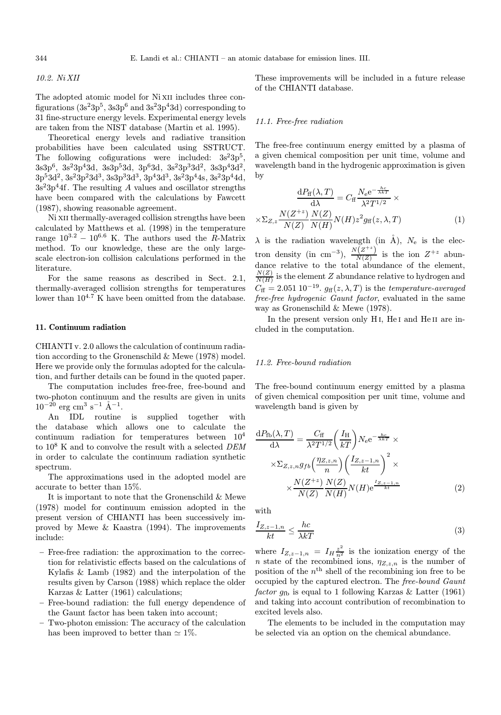# 10.2. Ni XII

The adopted atomic model for Ni XII includes three configurations  $(3s^23p^5, 3s3p^6 \text{ and } 3s^23p^43d)$  corresponding to 31 fine-structure energy levels. Experimental energy levels are taken from the NIST database (Martin et al. 1995).

Theoretical energy levels and radiative transition probabilities have been calculated using SSTRUCT. The following cofigurations were included:  $3s^23p^5$  $3s3p^6$ ,  $3s^23p^43d$ ,  $3s3p^53d$ ,  $3p^63d$ ,  $3s^23p^33d^2$ ,  $3s3p^43d^2$ ,  $3p^53d^2$ ,  $3s^23p^23d^3$ ,  $3s3p^33d^3$ ,  $3p^43d^3$ ,  $3s^23p^44s$ ,  $3s^23p^44d$ ,  $3s^23p^44f$ . The resulting A values and oscillator strengths have been compared with the calculations by Fawcett (1987), showing reasonable agreement.

Ni xii thermally-averaged collision strengths have been calculated by Matthews et al. (1998) in the temperature range  $10^{3.2} - 10^{6.6}$  K. The authors used the R-Matrix method. To our knowledge, these are the only largescale electron-ion collision calculations performed in the literature.

For the same reasons as described in Sect. 2.1, thermally-averaged collision strengths for temperatures lower than  $10^{4.7}$  K have been omitted from the database.

# 11. Continuum radiation

CHIANTI v. 2.0 allows the calculation of continuum radiation according to the Gronenschild & Mewe (1978) model. Here we provide only the formulas adopted for the calculation, and further details can be found in the quoted paper.

The computation includes free-free, free-bound and two-photon continuum and the results are given in units  $10^{-20}$  erg cm<sup>3</sup> s<sup>-1</sup>  $\AA$ <sup>-1</sup>.

An IDL routine is supplied together with the database which allows one to calculate the continuum radiation for temperatures between 10<sup>4</sup> to  $10^8$  K and to convolve the result with a selected DEM in order to calculate the continuum radiation synthetic spectrum.

The approximations used in the adopted model are accurate to better than 15%.

It is important to note that the Gronenschild & Mewe (1978) model for continuum emission adopted in the present version of CHIANTI has been successively improved by Mewe & Kaastra (1994). The improvements include:

- Free-free radiation: the approximation to the correction for relativistic effects based on the calculations of Kylafis & Lamb (1982) and the interpolation of the results given by Carson (1988) which replace the older Karzas & Latter (1961) calculations;
- Free-bound radiation: the full energy dependence of the Gaunt factor has been taken into account;
- Two-photon emission: The accuracy of the calculation has been improved to better than  $\simeq 1\%$ .

These improvements will be included in a future release of the CHIANTI database.

# 11.1. Free-free radiation

The free-free continuum energy emitted by a plasma of a given chemical composition per unit time, volume and wavelength band in the hydrogenic approximation is given by

$$
\frac{dP_{\text{ff}}(\lambda, T)}{d\lambda} = C_{\text{ff}} \frac{N_{\text{e}} \text{e}^{-\frac{hc}{\lambda k T}}}{\lambda^2 T^{1/2}} \times \frac{N(Z^{\pm z})}{N(Z)} \frac{N(Z)}{N(H)} N(H) z^2 g_{\text{ff}}(z, \lambda, T)
$$
(1)

 $\lambda$  is the radiation wavelength (in Å),  $N_e$  is the electron density (in cm<sup>-3</sup>),  $\frac{N(Z^{+z})}{N(Z)}$  is the ion  $Z^{+z}$  abundance relative to the total abundance of the element,  $\frac{N(Z)}{N(H)}$  is the element Z abundance relative to hydrogen and  $C_{\text{ff}} = 2.051 \ 10^{-19}$ .  $g_{\text{ff}}(z, \lambda, T)$  is the temperature-averaged free-free hydrogenic Gaunt factor, evaluated in the same way as Gronenschild & Mewe (1978).

In the present version only H<sub>I</sub>, He<sub>I</sub> and He<sub>II</sub> are included in the computation.

# 11.2. Free-bound radiation

The free-bound continuum energy emitted by a plasma of given chemical composition per unit time, volume and wavelength band is given by

$$
\frac{dP_{\text{fb}}(\lambda, T)}{d\lambda} = \frac{C_{\text{ff}}}{\lambda^2 T^{1/2}} \left(\frac{I_{\text{H}}}{kT}\right) N_{\text{e}} e^{-\frac{hc}{\lambda kT}} \times \frac{\lambda Z_{Z,z,n} g_{fb} \left(\frac{\eta_{Z,z,n}}{n}\right) \left(\frac{I_{Z,z-1,n}}{kt}\right)^2 \times \frac{N(Z^{+z})}{N(Z)} \frac{N(Z)}{N(H)} N(H) e^{\frac{I_{Z,z-1,n}}{kt}} \tag{2}
$$

with

$$
\frac{I_{Z,z-1,n}}{kt} \le \frac{hc}{\lambda kT} \tag{3}
$$

where  $I_{Z,z-1,n} = I_H \frac{z^2}{n^2}$  is the ionization energy of the n state of the recombined ions,  $\eta_{Z,z,n}$  is the number of position of the  $n<sup>th</sup>$  shell of the recombining ion free to be occupied by the captured electron. The free-bound Gaunt factor  $g_{\text{fb}}$  is equal to 1 following Karzas & Latter (1961) and taking into account contribution of recombination to excited levels also.

The elements to be included in the computation may be selected via an option on the chemical abundance.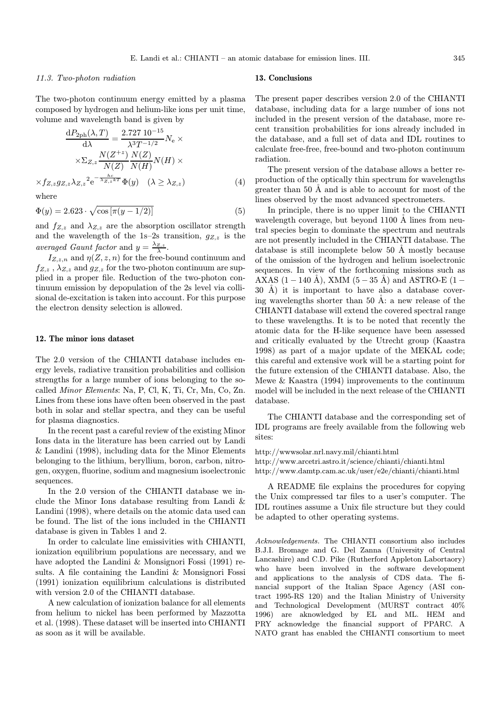#### 11.3. Two-photon radiation

The two-photon continuum energy emitted by a plasma composed by hydrogen and helium-like ions per unit time, volume and wavelength band is given by

$$
\frac{dP_{2ph}(\lambda, T)}{d\lambda} = \frac{2.727 \, 10^{-15}}{\lambda^3 T^{-1/2}} N_e \times
$$

$$
\times \Sigma_{Z,z} \frac{N(Z^{+z})}{N(Z)} \frac{N(Z)}{N(H)} N(H) \times
$$

$$
\times f_{Z,z} g_{Z,z} \lambda_{Z,z}^2 e^{-\frac{hc}{\lambda_{Z,z}kT}} \Phi(y) \quad (\lambda \ge \lambda_{Z,z}) \tag{4}
$$

where

$$
\Phi(y) = 2.623 \cdot \sqrt{\cos\left[\pi(y - 1/2)\right]}
$$
\n(5)

and  $f_{Z,z}$  and  $\lambda_{Z,z}$  are the absorption oscillator strength and the wavelength of the 1s–2s transition,  $g_{Z,z}$  is the averaged Gaunt factor and  $y = \frac{\lambda_{Z,z}}{\lambda}$ .

 $I_{Z,z,n}$  and  $\eta(Z,z,n)$  for the free-bound continuum and  $f_{Z,z}$ ,  $\lambda_{Z,z}$  and  $gz_{,z}$  for the two-photon continuum are supplied in a proper file. Reduction of the two-photon continuum emission by depopulation of the 2s level via collisional de-excitation is taken into account. For this purpose the electron density selection is allowed.

### 12. The minor ions dataset

The 2.0 version of the CHIANTI database includes energy levels, radiative transition probabilities and collision strengths for a large number of ions belonging to the socalled Minor Elements: Na, P, Cl, K, Ti, Cr, Mn, Co, Zn. Lines from these ions have often been observed in the past both in solar and stellar spectra, and they can be useful for plasma diagnostics.

In the recent past a careful review of the existing Minor Ions data in the literature has been carried out by Landi & Landini (1998), including data for the Minor Elements belonging to the lithium, beryllium, boron, carbon, nitrogen, oxygen, fluorine, sodium and magnesium isoelectronic sequences.

In the 2.0 version of the CHIANTI database we include the Minor Ions database resulting from Landi & Landini (1998), where details on the atomic data used can be found. The list of the ions included in the CHIANTI database is given in Tables 1 and 2.

In order to calculate line emissivities with CHIANTI, ionization equilibrium populations are necessary, and we have adopted the Landini & Monsignori Fossi (1991) results. A file containing the Landini & Monsignori Fossi (1991) ionization equilibrium calculations is distributed with version 2.0 of the CHIANTI database.

A new calculation of ionization balance for all elements from helium to nickel has been performed by Mazzotta et al. (1998). These dataset will be inserted into CHIANTI as soon as it will be available.

### 13. Conclusions

The present paper describes version 2.0 of the CHIANTI database, including data for a large number of ions not included in the present version of the database, more recent transition probabilities for ions already included in the database, and a full set of data and IDL routines to calculate free-free, free-bound and two-photon continuum radiation.

The present version of the database allows a better reproduction of the optically thin spectrum for wavelengths greater than 50  $\AA$  and is able to account for most of the lines observed by the most advanced spectrometers.

In principle, there is no upper limit to the CHIANTI wavelength coverage, but beyond  $1100 \text{ Å}$  lines from neutral species begin to dominate the spectrum and neutrals are not presently included in the CHIANTI database. The database is still incomplete below  $50 \text{ Å}$  mostly because of the omission of the hydrogen and helium isoelectronic sequences. In view of the forthcoming missions such as AXAS (1 – 140 Å), XMM (5 – 35 Å) and ASTRO-E (1 –  $30$  Å) it is important to have also a database covering wavelengths shorter than 50  $\AA$ : a new release of the CHIANTI database will extend the covered spectral range to these wavelengths. It is to be noted that recently the atomic data for the H-like sequence have been assessed and critically evaluated by the Utrecht group (Kaastra 1998) as part of a major update of the MEKAL code; this careful and extensive work will be a starting point for the future extension of the CHIANTI database. Also, the Mewe & Kaastra (1994) improvements to the continuum model will be included in the next release of the CHIANTI database.

The CHIANTI database and the corresponding set of IDL programs are freely available from the following web sites:

http://wwwsolar.nrl.navy.mil/chianti.html http://www.arcetri.astro.it/science/chianti/chianti.html http://www.damtp.cam.ac.uk/user/e2e/chianti/chianti.html

A README file explains the procedures for copying the Unix compressed tar files to a user's computer. The IDL routines assume a Unix file structure but they could be adapted to other operating systems.

Acknowledgements. The CHIANTI consortium also includes B.J.I. Bromage and G. Del Zanna (University of Central Lancashire) and C.D. Pike (Rutherford Appleton Labortaory) who have been involved in the software development and applications to the analysis of CDS data. The financial support of the Italian Space Agency (ASI contract 1995-RS 120) and the Italian Ministry of University and Technological Development (MURST contract 40% 1996) are aknowledged by EL and ML. HEM and PRY acknowledge the financial support of PPARC. A NATO grant has enabled the CHIANTI consortium to meet